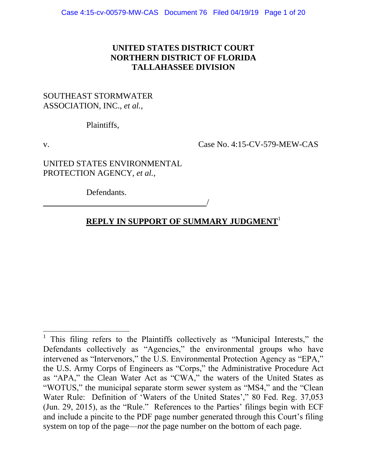## **UNITED STATES DISTRICT COURT NORTHERN DISTRICT OF FLORIDA TALLAHASSEE DIVISION**

### SOUTHEAST STORMWATER ASSOCIATION, INC., *et al.,*

Plaintiffs,

 $\overline{a}$ 

v. Case No. 4:15-CV-579-MEW-CAS

UNITED STATES ENVIRONMENTAL PROTECTION AGENCY, *et al.*,

<u>/</u>

Defendants.

# **REPLY IN SUPPORT OF SUMMARY JUDGMENT**<sup>1</sup>

<sup>&</sup>lt;sup>1</sup> This filing refers to the Plaintiffs collectively as "Municipal Interests," the Defendants collectively as "Agencies," the environmental groups who have intervened as "Intervenors," the U.S. Environmental Protection Agency as "EPA," the U.S. Army Corps of Engineers as "Corps," the Administrative Procedure Act as "APA," the Clean Water Act as "CWA," the waters of the United States as "WOTUS," the municipal separate storm sewer system as "MS4," and the "Clean Water Rule: Definition of 'Waters of the United States'," 80 Fed. Reg. 37,053 (Jun. 29, 2015), as the "Rule." References to the Parties' filings begin with ECF and include a pincite to the PDF page number generated through this Court's filing system on top of the page—*not* the page number on the bottom of each page.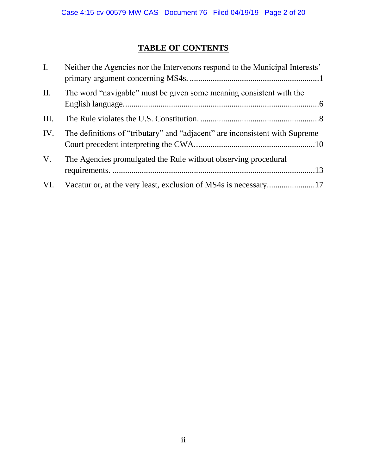# **TABLE OF CONTENTS**

| $\mathbf{I}$ . | Neither the Agencies nor the Intervenors respond to the Municipal Interests' |
|----------------|------------------------------------------------------------------------------|
| $\prod$ .      | The word "navigable" must be given some meaning consistent with the          |
| Ш.             |                                                                              |
| IV.            | The definitions of "tributary" and "adjacent" are inconsistent with Supreme  |
| V.             | The Agencies promulgated the Rule without observing procedural               |
| VI.            |                                                                              |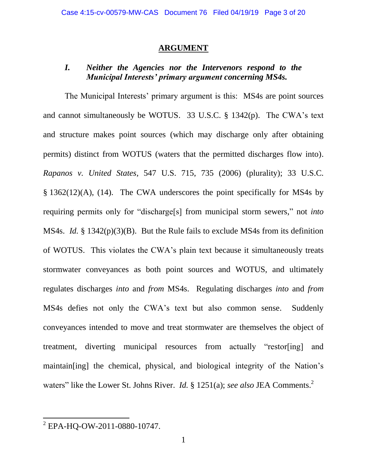### **ARGUMENT**

### *I. Neither the Agencies nor the Intervenors respond to the Municipal Interests' primary argument concerning MS4s.*

The Municipal Interests' primary argument is this: MS4s are point sources and cannot simultaneously be WOTUS. 33 U.S.C. § 1342(p). The CWA's text and structure makes point sources (which may discharge only after obtaining permits) distinct from WOTUS (waters that the permitted discharges flow into). *Rapanos v. United States,* 547 U.S. 715, 735 (2006) (plurality); 33 U.S.C. § 1362(12)(A), (14). The CWA underscores the point specifically for MS4s by requiring permits only for "discharge[s] from municipal storm sewers," not *into* MS4s. *Id.* § 1342(p)(3)(B). But the Rule fails to exclude MS4s from its definition of WOTUS. This violates the CWA's plain text because it simultaneously treats stormwater conveyances as both point sources and WOTUS, and ultimately regulates discharges *into* and *from* MS4s. Regulating discharges *into* and *from* MS4s defies not only the CWA's text but also common sense. Suddenly conveyances intended to move and treat stormwater are themselves the object of treatment, diverting municipal resources from actually "restor[ing] and maintain[ing] the chemical, physical, and biological integrity of the Nation's waters" like the Lower St. Johns River. *Id.* § 1251(a); *see also* JEA Comments. 2

<sup>&</sup>lt;sup>2</sup> EPA-HQ-OW-2011-0880-10747.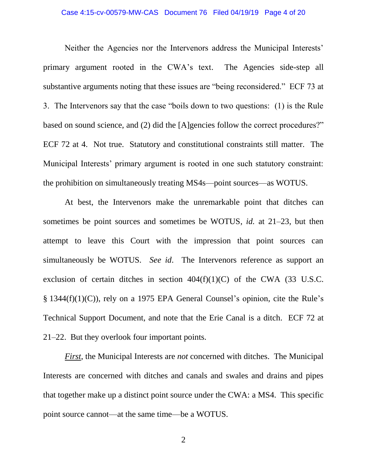#### Case 4:15-cv-00579-MW-CAS Document 76 Filed 04/19/19 Page 4 of 20

Neither the Agencies nor the Intervenors address the Municipal Interests' primary argument rooted in the CWA's text. The Agencies side-step all substantive arguments noting that these issues are "being reconsidered." ECF 73 at 3. The Intervenors say that the case "boils down to two questions: (1) is the Rule based on sound science, and (2) did the [A]gencies follow the correct procedures?" ECF 72 at 4. Not true. Statutory and constitutional constraints still matter. The Municipal Interests' primary argument is rooted in one such statutory constraint: the prohibition on simultaneously treating MS4s—point sources—as WOTUS.

At best, the Intervenors make the unremarkable point that ditches can sometimes be point sources and sometimes be WOTUS, *id.* at 21–23, but then attempt to leave this Court with the impression that point sources can simultaneously be WOTUS. *See id*. The Intervenors reference as support an exclusion of certain ditches in section  $404(f)(1)(C)$  of the CWA (33 U.S.C. § 1344(f)(1)(C)), rely on a 1975 EPA General Counsel's opinion, cite the Rule's Technical Support Document, and note that the Erie Canal is a ditch. ECF 72 at 21–22. But they overlook four important points.

*First*, the Municipal Interests are *not* concerned with ditches. The Municipal Interests are concerned with ditches and canals and swales and drains and pipes that together make up a distinct point source under the CWA: a MS4. This specific point source cannot—at the same time—be a WOTUS.

2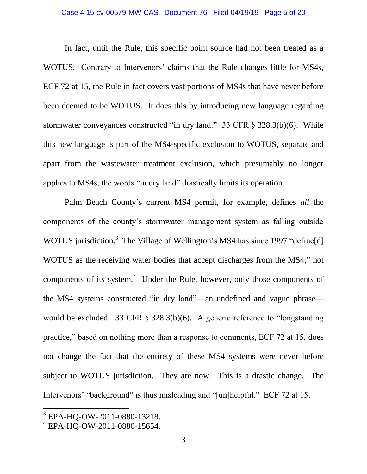### Case 4:15-cv-00579-MW-CAS Document 76 Filed 04/19/19 Page 5 of 20

In fact, until the Rule, this specific point source had not been treated as a WOTUS. Contrary to Intervenors' claims that the Rule changes little for MS4s, ECF 72 at 15, the Rule in fact covers vast portions of MS4s that have never before been deemed to be WOTUS. It does this by introducing new language regarding stormwater conveyances constructed "in dry land." 33 CFR § 328.3(b)(6). While this new language is part of the MS4-specific exclusion to WOTUS, separate and apart from the wastewater treatment exclusion, which presumably no longer applies to MS4s, the words "in dry land" drastically limits its operation.

Palm Beach County's current MS4 permit, for example, defines *all* the components of the county's stormwater management system as falling outside WOTUS jurisdiction.<sup>3</sup> The Village of Wellington's MS4 has since 1997 "define[d] WOTUS as the receiving water bodies that accept discharges from the MS4," not components of its system. $4$  Under the Rule, however, only those components of the MS4 systems constructed "in dry land"—an undefined and vague phrase would be excluded. 33 CFR § 328.3(b)(6). A generic reference to "longstanding practice," based on nothing more than a response to comments, ECF 72 at 15, does not change the fact that the entirety of these MS4 systems were never before subject to WOTUS jurisdiction. They are now. This is a drastic change. The Intervenors' "background" is thus misleading and "[un]helpful." ECF 72 at 15.

 $\overline{\phantom{a}}$ 

<sup>3</sup> EPA-HQ-OW-2011-0880-13218.

<sup>4</sup> EPA-HQ-OW-2011-0880-15654.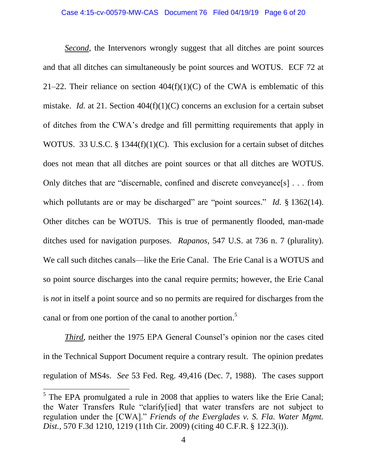*Second*, the Intervenors wrongly suggest that all ditches are point sources and that all ditches can simultaneously be point sources and WOTUS. ECF 72 at 21–22. Their reliance on section  $404(f)(1)(C)$  of the CWA is emblematic of this mistake. *Id.* at 21. Section 404(f)(1)(C) concerns an exclusion for a certain subset of ditches from the CWA's dredge and fill permitting requirements that apply in WOTUS. 33 U.S.C. § 1344(f)(1)(C). This exclusion for a certain subset of ditches does not mean that all ditches are point sources or that all ditches are WOTUS. Only ditches that are "discernable, confined and discrete conveyance[s] . . . from which pollutants are or may be discharged" are "point sources." *Id.* § 1362(14). Other ditches can be WOTUS. This is true of permanently flooded, man-made ditches used for navigation purposes. *Rapanos,* 547 U.S. at 736 n. 7 (plurality). We call such ditches canals—like the Erie Canal. The Erie Canal is a WOTUS and so point source discharges into the canal require permits; however, the Erie Canal is *not* in itself a point source and so no permits are required for discharges from the canal or from one portion of the canal to another portion. 5

*Third*, neither the 1975 EPA General Counsel's opinion nor the cases cited in the Technical Support Document require a contrary result. The opinion predates regulation of MS4s. *See* 53 Fed. Reg. 49,416 (Dec. 7, 1988). The cases support

 $\overline{\phantom{a}}$ 

 $<sup>5</sup>$  The EPA promulgated a rule in 2008 that applies to waters like the Erie Canal;</sup> the Water Transfers Rule "clarify[ied] that water transfers are not subject to regulation under the [CWA]." *Friends of the Everglades v. S. Fla. Water Mgmt. Dist.*, 570 F.3d 1210, 1219 (11th Cir. 2009) (citing 40 C.F.R. § 122.3(i)).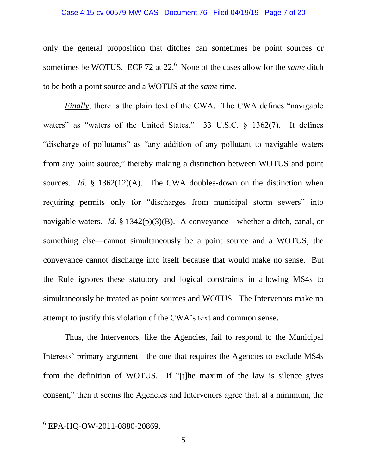### Case 4:15-cv-00579-MW-CAS Document 76 Filed 04/19/19 Page 7 of 20

only the general proposition that ditches can sometimes be point sources or sometimes be WOTUS. ECF 72 at 22.<sup>6</sup> None of the cases allow for the *same* ditch to be both a point source and a WOTUS at the *same* time.

*Finally*, there is the plain text of the CWA. The CWA defines "navigable" waters" as "waters of the United States." 33 U.S.C. § 1362(7). It defines "discharge of pollutants" as "any addition of any pollutant to navigable waters from any point source," thereby making a distinction between WOTUS and point sources. *Id.* § 1362(12)(A). The CWA doubles-down on the distinction when requiring permits only for "discharges from municipal storm sewers" into navigable waters. *Id.* § 1342(p)(3)(B). A conveyance—whether a ditch, canal, or something else—cannot simultaneously be a point source and a WOTUS; the conveyance cannot discharge into itself because that would make no sense. But the Rule ignores these statutory and logical constraints in allowing MS4s to simultaneously be treated as point sources and WOTUS. The Intervenors make no attempt to justify this violation of the CWA's text and common sense.

Thus, the Intervenors, like the Agencies, fail to respond to the Municipal Interests' primary argument—the one that requires the Agencies to exclude MS4s from the definition of WOTUS. If "[t]he maxim of the law is silence gives consent," then it seems the Agencies and Intervenors agree that, at a minimum, the

<sup>6</sup> EPA-HQ-OW-2011-0880-20869.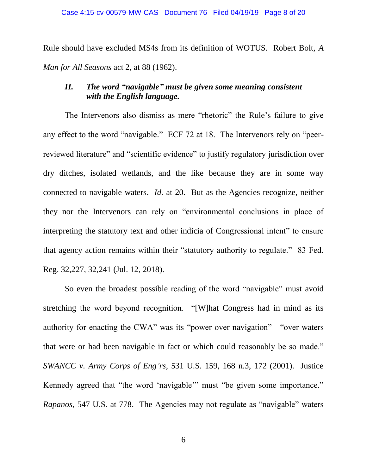Rule should have excluded MS4s from its definition of WOTUS. Robert Bolt, *A Man for All Seasons* act 2, at 88 (1962).

# *II. The word "navigable" must be given some meaning consistent with the English language.*

The Intervenors also dismiss as mere "rhetoric" the Rule's failure to give any effect to the word "navigable." ECF 72 at 18. The Intervenors rely on "peerreviewed literature" and "scientific evidence" to justify regulatory jurisdiction over dry ditches, isolated wetlands, and the like because they are in some way connected to navigable waters. *Id.* at 20. But as the Agencies recognize, neither they nor the Intervenors can rely on "environmental conclusions in place of interpreting the statutory text and other indicia of Congressional intent" to ensure that agency action remains within their "statutory authority to regulate." 83 Fed. Reg. 32,227, 32,241 (Jul. 12, 2018).

So even the broadest possible reading of the word "navigable" must avoid stretching the word beyond recognition. "[W]hat Congress had in mind as its authority for enacting the CWA" was its "power over navigation"—"over waters that were or had been navigable in fact or which could reasonably be so made." *SWANCC v. Army Corps of Eng'rs,* 531 U.S. 159, 168 n.3, 172 (2001). Justice Kennedy agreed that "the word 'navigable'" must "be given some importance." *Rapanos,* 547 U.S. at 778. The Agencies may not regulate as "navigable" waters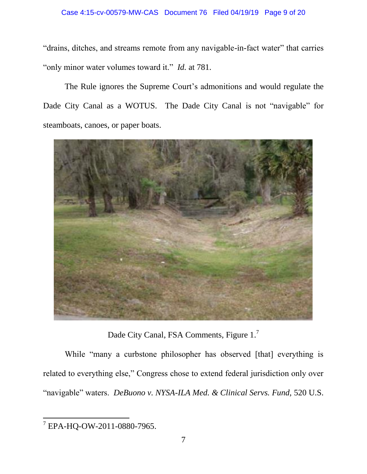"drains, ditches, and streams remote from any navigable-in-fact water" that carries "only minor water volumes toward it." *Id.* at 781.

The Rule ignores the Supreme Court's admonitions and would regulate the Dade City Canal as a WOTUS. The Dade City Canal is not "navigable" for steamboats, canoes, or paper boats.



Dade City Canal, FSA Comments, Figure 1.<sup>7</sup>

While "many a curbstone philosopher has observed [that] everything is related to everything else," Congress chose to extend federal jurisdiction only over "navigable" waters. *DeBuono v. NYSA-ILA Med. & Clinical Servs. Fund,* 520 U.S.

<sup>7</sup> EPA-HQ-OW-2011-0880-7965.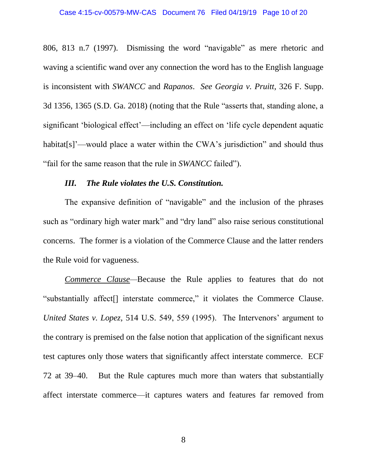#### Case 4:15-cv-00579-MW-CAS Document 76 Filed 04/19/19 Page 10 of 20

806, 813 n.7 (1997). Dismissing the word "navigable" as mere rhetoric and waving a scientific wand over any connection the word has to the English language is inconsistent with *SWANCC* and *Rapanos*. *See Georgia v. Pruitt,* 326 F. Supp. 3d 1356, 1365 (S.D. Ga. 2018) (noting that the Rule "asserts that, standing alone, a significant 'biological effect'—including an effect on 'life cycle dependent aquatic habitat[s]'—would place a water within the CWA's jurisdiction" and should thus "fail for the same reason that the rule in *SWANCC* failed").

#### *III. The Rule violates the U.S. Constitution.*

The expansive definition of "navigable" and the inclusion of the phrases such as "ordinary high water mark" and "dry land" also raise serious constitutional concerns. The former is a violation of the Commerce Clause and the latter renders the Rule void for vagueness.

*Commerce Clause—*Because the Rule applies to features that do not "substantially affect[] interstate commerce," it violates the Commerce Clause. *United States v. Lopez,* 514 U.S. 549, 559 (1995). The Intervenors' argument to the contrary is premised on the false notion that application of the significant nexus test captures only those waters that significantly affect interstate commerce. ECF 72 at 39–40. But the Rule captures much more than waters that substantially affect interstate commerce—it captures waters and features far removed from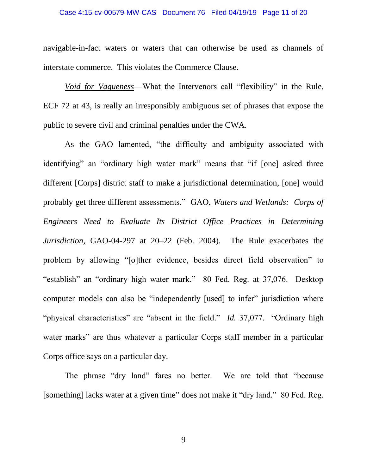### Case 4:15-cv-00579-MW-CAS Document 76 Filed 04/19/19 Page 11 of 20

navigable-in-fact waters or waters that can otherwise be used as channels of interstate commerce. This violates the Commerce Clause.

*Void for Vagueness*—What the Intervenors call "flexibility" in the Rule, ECF 72 at 43, is really an irresponsibly ambiguous set of phrases that expose the public to severe civil and criminal penalties under the CWA.

As the GAO lamented, "the difficulty and ambiguity associated with identifying" an "ordinary high water mark" means that "if [one] asked three different [Corps] district staff to make a jurisdictional determination, [one] would probably get three different assessments." GAO, *Waters and Wetlands: Corps of Engineers Need to Evaluate Its District Office Practices in Determining Jurisdiction,* GAO-04-297 at 20–22 (Feb. 2004). The Rule exacerbates the problem by allowing "[o]ther evidence, besides direct field observation" to "establish" an "ordinary high water mark." 80 Fed. Reg. at 37,076. Desktop computer models can also be "independently [used] to infer" jurisdiction where "physical characteristics" are "absent in the field." *Id.* 37,077. "Ordinary high water marks" are thus whatever a particular Corps staff member in a particular Corps office says on a particular day.

The phrase "dry land" fares no better. We are told that "because [something] lacks water at a given time" does not make it "dry land." 80 Fed. Reg.

9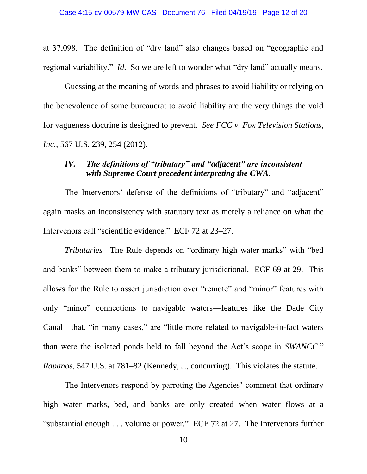at 37,098. The definition of "dry land" also changes based on "geographic and regional variability." *Id.* So we are left to wonder what "dry land" actually means.

Guessing at the meaning of words and phrases to avoid liability or relying on the benevolence of some bureaucrat to avoid liability are the very things the void for vagueness doctrine is designed to prevent. *See FCC v. Fox Television Stations, Inc.,* 567 U.S. 239, 254 (2012).

## *IV. The definitions of "tributary" and "adjacent" are inconsistent with Supreme Court precedent interpreting the CWA.*

The Intervenors' defense of the definitions of "tributary" and "adjacent" again masks an inconsistency with statutory text as merely a reliance on what the Intervenors call "scientific evidence." ECF 72 at 23–27.

*Tributaries—*The Rule depends on "ordinary high water marks" with "bed and banks" between them to make a tributary jurisdictional. ECF 69 at 29. This allows for the Rule to assert jurisdiction over "remote" and "minor" features with only "minor" connections to navigable waters—features like the Dade City Canal—that, "in many cases," are "little more related to navigable-in-fact waters than were the isolated ponds held to fall beyond the Act's scope in *SWANCC*." *Rapanos,* 547 U.S. at 781–82 (Kennedy, J., concurring). This violates the statute.

The Intervenors respond by parroting the Agencies' comment that ordinary high water marks, bed, and banks are only created when water flows at a "substantial enough . . . volume or power." ECF 72 at 27. The Intervenors further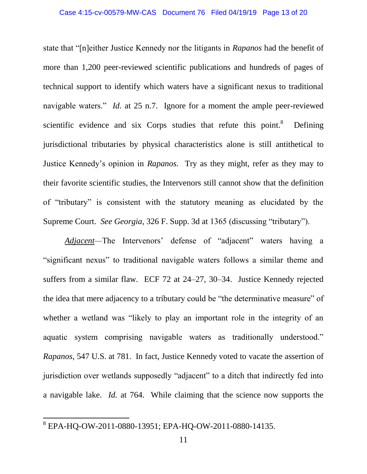state that "[n]either Justice Kennedy nor the litigants in *Rapanos* had the benefit of more than 1,200 peer-reviewed scientific publications and hundreds of pages of technical support to identify which waters have a significant nexus to traditional navigable waters." *Id.* at 25 n.7. Ignore for a moment the ample peer-reviewed scientific evidence and six Corps studies that refute this point.<sup>8</sup> Defining jurisdictional tributaries by physical characteristics alone is still antithetical to Justice Kennedy's opinion in *Rapanos.* Try as they might, refer as they may to their favorite scientific studies, the Intervenors still cannot show that the definition of "tributary" is consistent with the statutory meaning as elucidated by the Supreme Court. *See Georgia*, 326 F. Supp. 3d at 1365 (discussing "tributary").

*Adjacent—*The Intervenors' defense of "adjacent" waters having a "significant nexus" to traditional navigable waters follows a similar theme and suffers from a similar flaw. ECF 72 at 24–27, 30–34. Justice Kennedy rejected the idea that mere adjacency to a tributary could be "the determinative measure" of whether a wetland was "likely to play an important role in the integrity of an aquatic system comprising navigable waters as traditionally understood." *Rapanos,* 547 U.S. at 781. In fact, Justice Kennedy voted to vacate the assertion of jurisdiction over wetlands supposedly "adjacent" to a ditch that indirectly fed into a navigable lake. *Id.* at 764. While claiming that the science now supports the

<sup>8</sup> EPA-HQ-OW-2011-0880-13951; EPA-HQ-OW-2011-0880-14135.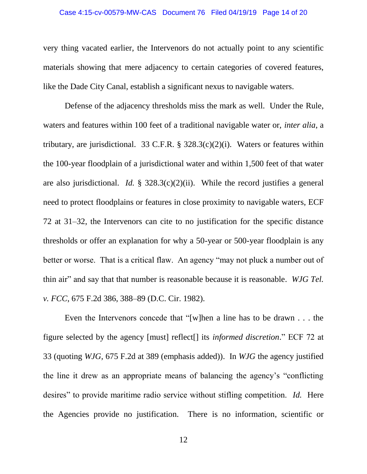#### Case 4:15-cv-00579-MW-CAS Document 76 Filed 04/19/19 Page 14 of 20

very thing vacated earlier, the Intervenors do not actually point to any scientific materials showing that mere adjacency to certain categories of covered features, like the Dade City Canal, establish a significant nexus to navigable waters.

Defense of the adjacency thresholds miss the mark as well. Under the Rule, waters and features within 100 feet of a traditional navigable water or, *inter alia*, a tributary, are jurisdictional. 33 C.F.R.  $\S$  328.3(c)(2)(i). Waters or features within the 100-year floodplain of a jurisdictional water and within 1,500 feet of that water are also jurisdictional. *Id.* § 328.3(c)(2)(ii). While the record justifies a general need to protect floodplains or features in close proximity to navigable waters, ECF 72 at 31–32, the Intervenors can cite to no justification for the specific distance thresholds or offer an explanation for why a 50-year or 500-year floodplain is any better or worse. That is a critical flaw. An agency "may not pluck a number out of thin air" and say that that number is reasonable because it is reasonable. *WJG Tel. v. FCC,* 675 F.2d 386, 388–89 (D.C. Cir. 1982).

Even the Intervenors concede that "[w]hen a line has to be drawn . . . the figure selected by the agency [must] reflect[] its *informed discretion*." ECF 72 at 33 (quoting *WJG,* 675 F.2d at 389 (emphasis added)). In *WJG* the agency justified the line it drew as an appropriate means of balancing the agency's "conflicting desires" to provide maritime radio service without stifling competition. *Id.* Here the Agencies provide no justification. There is no information, scientific or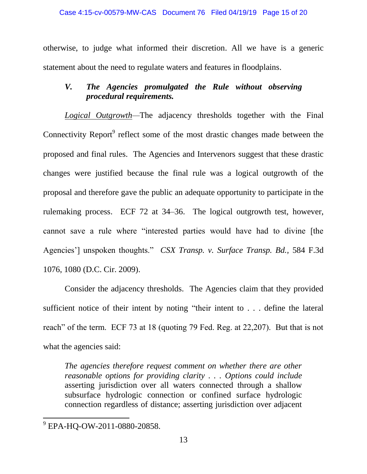otherwise, to judge what informed their discretion. All we have is a generic statement about the need to regulate waters and features in floodplains.

# *V. The Agencies promulgated the Rule without observing procedural requirements.*

*Logical Outgrowth—*The adjacency thresholds together with the Final Connectivity Report<sup>9</sup> reflect some of the most drastic changes made between the proposed and final rules. The Agencies and Intervenors suggest that these drastic changes were justified because the final rule was a logical outgrowth of the proposal and therefore gave the public an adequate opportunity to participate in the rulemaking process. ECF 72 at 34–36. The logical outgrowth test, however, cannot save a rule where "interested parties would have had to divine [the Agencies'] unspoken thoughts." *CSX Transp. v. Surface Transp. Bd.,* 584 F.3d 1076, 1080 (D.C. Cir. 2009).

Consider the adjacency thresholds. The Agencies claim that they provided sufficient notice of their intent by noting "their intent to . . . define the lateral reach" of the term. ECF 73 at 18 (quoting 79 Fed. Reg. at 22,207). But that is not what the agencies said:

*The agencies therefore request comment on whether there are other reasonable options for providing clarity . . . Options could include* asserting jurisdiction over all waters connected through a shallow subsurface hydrologic connection or confined surface hydrologic connection regardless of distance; asserting jurisdiction over adjacent

<sup>&</sup>lt;sup>9</sup> EPA-HQ-OW-2011-0880-20858.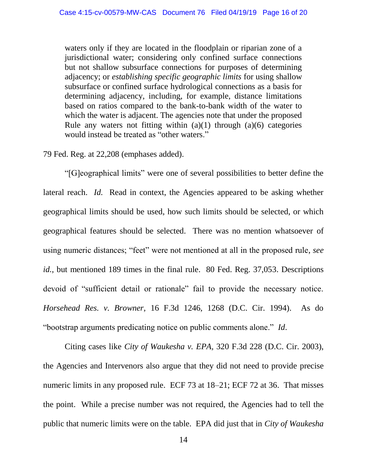waters only if they are located in the floodplain or riparian zone of a jurisdictional water; considering only confined surface connections but not shallow subsurface connections for purposes of determining adjacency; or *establishing specific geographic limits* for using shallow subsurface or confined surface hydrological connections as a basis for determining adjacency, including, for example, distance limitations based on ratios compared to the bank-to-bank width of the water to which the water is adjacent. The agencies note that under the proposed Rule any waters not fitting within  $(a)(1)$  through  $(a)(6)$  categories would instead be treated as "other waters."

#### 79 Fed. Reg. at 22,208 (emphases added).

"[G]eographical limits" were one of several possibilities to better define the lateral reach. *Id.* Read in context, the Agencies appeared to be asking whether geographical limits should be used, how such limits should be selected, or which geographical features should be selected. There was no mention whatsoever of using numeric distances; "feet" were not mentioned at all in the proposed rule, *see id.*, but mentioned 189 times in the final rule. 80 Fed. Reg. 37,053. Descriptions devoid of "sufficient detail or rationale" fail to provide the necessary notice. *Horsehead Res. v. Browner,* 16 F.3d 1246, 1268 (D.C. Cir. 1994). As do "bootstrap arguments predicating notice on public comments alone." *Id*.

Citing cases like *City of Waukesha v. EPA,* 320 F.3d 228 (D.C. Cir. 2003), the Agencies and Intervenors also argue that they did not need to provide precise numeric limits in any proposed rule. ECF 73 at 18–21; ECF 72 at 36. That misses the point. While a precise number was not required, the Agencies had to tell the public that numeric limits were on the table. EPA did just that in *City of Waukesha*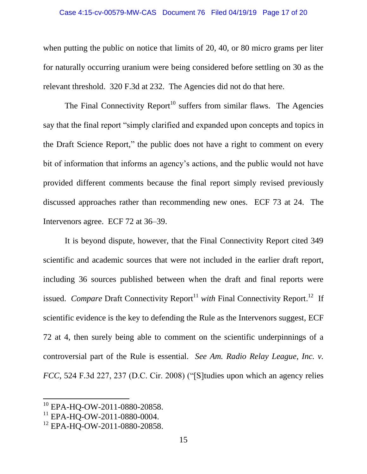#### Case 4:15-cv-00579-MW-CAS Document 76 Filed 04/19/19 Page 17 of 20

when putting the public on notice that limits of 20, 40, or 80 micro grams per liter for naturally occurring uranium were being considered before settling on 30 as the relevant threshold. 320 F.3d at 232. The Agencies did not do that here.

The Final Connectivity Report<sup>10</sup> suffers from similar flaws. The Agencies say that the final report "simply clarified and expanded upon concepts and topics in the Draft Science Report," the public does not have a right to comment on every bit of information that informs an agency's actions, and the public would not have provided different comments because the final report simply revised previously discussed approaches rather than recommending new ones. ECF 73 at 24. The Intervenors agree. ECF 72 at 36–39.

It is beyond dispute, however, that the Final Connectivity Report cited 349 scientific and academic sources that were not included in the earlier draft report, including 36 sources published between when the draft and final reports were issued. Compare Draft Connectivity Report<sup>11</sup> with Final Connectivity Report.<sup>12</sup> If scientific evidence is the key to defending the Rule as the Intervenors suggest, ECF 72 at 4, then surely being able to comment on the scientific underpinnings of a controversial part of the Rule is essential. *See Am. Radio Relay League, Inc. v. FCC,* 524 F.3d 227, 237 (D.C. Cir. 2008) ("[S]tudies upon which an agency relies

 $\overline{\phantom{a}}$ 

<sup>10</sup> EPA-HQ-OW-2011-0880-20858.

<sup>&</sup>lt;sup>11</sup> EPA-HO-OW-2011-0880-0004.

<sup>&</sup>lt;sup>12</sup> EPA-HO-OW-2011-0880-20858.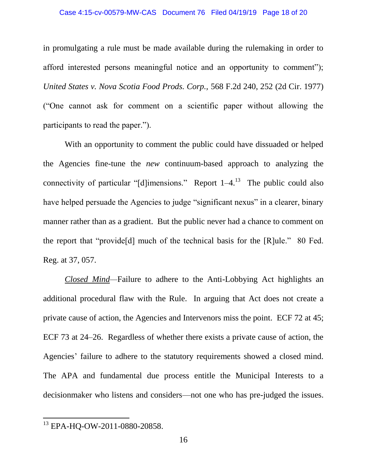#### Case 4:15-cv-00579-MW-CAS Document 76 Filed 04/19/19 Page 18 of 20

in promulgating a rule must be made available during the rulemaking in order to afford interested persons meaningful notice and an opportunity to comment"); *United States v. Nova Scotia Food Prods. Corp.,* 568 F.2d 240, 252 (2d Cir. 1977) ("One cannot ask for comment on a scientific paper without allowing the participants to read the paper.").

With an opportunity to comment the public could have dissuaded or helped the Agencies fine-tune the *new* continuum-based approach to analyzing the connectivity of particular "[d]imensions." Report  $1-4$ .<sup>13</sup> The public could also have helped persuade the Agencies to judge "significant nexus" in a clearer, binary manner rather than as a gradient. But the public never had a chance to comment on the report that "provide[d] much of the technical basis for the [R]ule." 80 Fed. Reg. at 37, 057.

*Closed Mind—*Failure to adhere to the Anti-Lobbying Act highlights an additional procedural flaw with the Rule. In arguing that Act does not create a private cause of action, the Agencies and Intervenors miss the point. ECF 72 at 45; ECF 73 at 24–26. Regardless of whether there exists a private cause of action, the Agencies' failure to adhere to the statutory requirements showed a closed mind. The APA and fundamental due process entitle the Municipal Interests to a decisionmaker who listens and considers—not one who has pre-judged the issues.

<sup>&</sup>lt;sup>13</sup> EPA-HQ-OW-2011-0880-20858.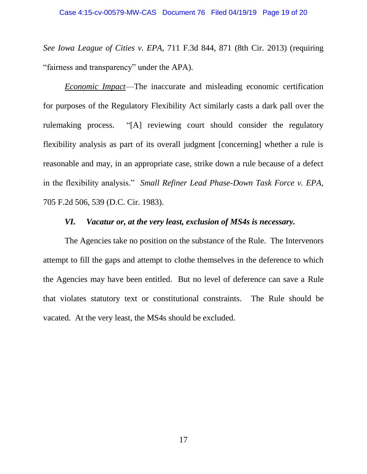*See Iowa League of Cities v. EPA,* 711 F.3d 844, 871 (8th Cir. 2013) (requiring "fairness and transparency" under the APA).

*Economic Impact*—The inaccurate and misleading economic certification for purposes of the Regulatory Flexibility Act similarly casts a dark pall over the rulemaking process. "[A] reviewing court should consider the regulatory flexibility analysis as part of its overall judgment [concerning] whether a rule is reasonable and may, in an appropriate case, strike down a rule because of a defect in the flexibility analysis." *Small Refiner Lead Phase-Down Task Force v. EPA,*  705 F.2d 506, 539 (D.C. Cir. 1983).

#### *VI. Vacatur or, at the very least, exclusion of MS4s is necessary.*

The Agencies take no position on the substance of the Rule. The Intervenors attempt to fill the gaps and attempt to clothe themselves in the deference to which the Agencies may have been entitled. But no level of deference can save a Rule that violates statutory text or constitutional constraints. The Rule should be vacated. At the very least, the MS4s should be excluded.